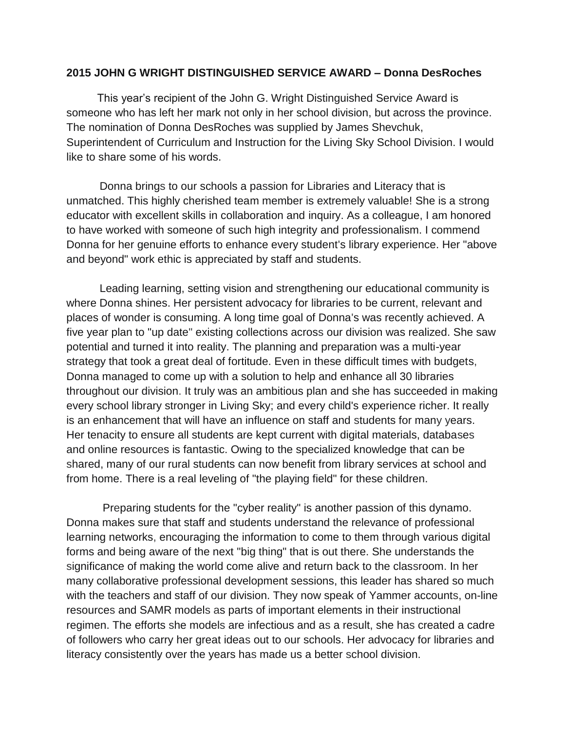## **2015 JOHN G WRIGHT DISTINGUISHED SERVICE AWARD – Donna DesRoches**

 This year's recipient of the John G. Wright Distinguished Service Award is someone who has left her mark not only in her school division, but across the province. The nomination of Donna DesRoches was supplied by James Shevchuk, Superintendent of Curriculum and Instruction for the Living Sky School Division. I would like to share some of his words.

Donna brings to our schools a passion for Libraries and Literacy that is unmatched. This highly cherished team member is extremely valuable! She is a strong educator with excellent skills in collaboration and inquiry. As a colleague, I am honored to have worked with someone of such high integrity and professionalism. I commend Donna for her genuine efforts to enhance every student's library experience. Her "above and beyond" work ethic is appreciated by staff and students.

Leading learning, setting vision and strengthening our educational community is where Donna shines. Her persistent advocacy for libraries to be current, relevant and places of wonder is consuming. A long time goal of Donna's was recently achieved. A five year plan to "up date" existing collections across our division was realized. She saw potential and turned it into reality. The planning and preparation was a multi-year strategy that took a great deal of fortitude. Even in these difficult times with budgets, Donna managed to come up with a solution to help and enhance all 30 libraries throughout our division. It truly was an ambitious plan and she has succeeded in making every school library stronger in Living Sky; and every child's experience richer. It really is an enhancement that will have an influence on staff and students for many years. Her tenacity to ensure all students are kept current with digital materials, databases and online resources is fantastic. Owing to the specialized knowledge that can be shared, many of our rural students can now benefit from library services at school and from home. There is a real leveling of "the playing field" for these children.

Preparing students for the "cyber reality" is another passion of this dynamo. Donna makes sure that staff and students understand the relevance of professional learning networks, encouraging the information to come to them through various digital forms and being aware of the next "big thing" that is out there. She understands the significance of making the world come alive and return back to the classroom. In her many collaborative professional development sessions, this leader has shared so much with the teachers and staff of our division. They now speak of Yammer accounts, on-line resources and SAMR models as parts of important elements in their instructional regimen. The efforts she models are infectious and as a result, she has created a cadre of followers who carry her great ideas out to our schools. Her advocacy for libraries and literacy consistently over the years has made us a better school division.